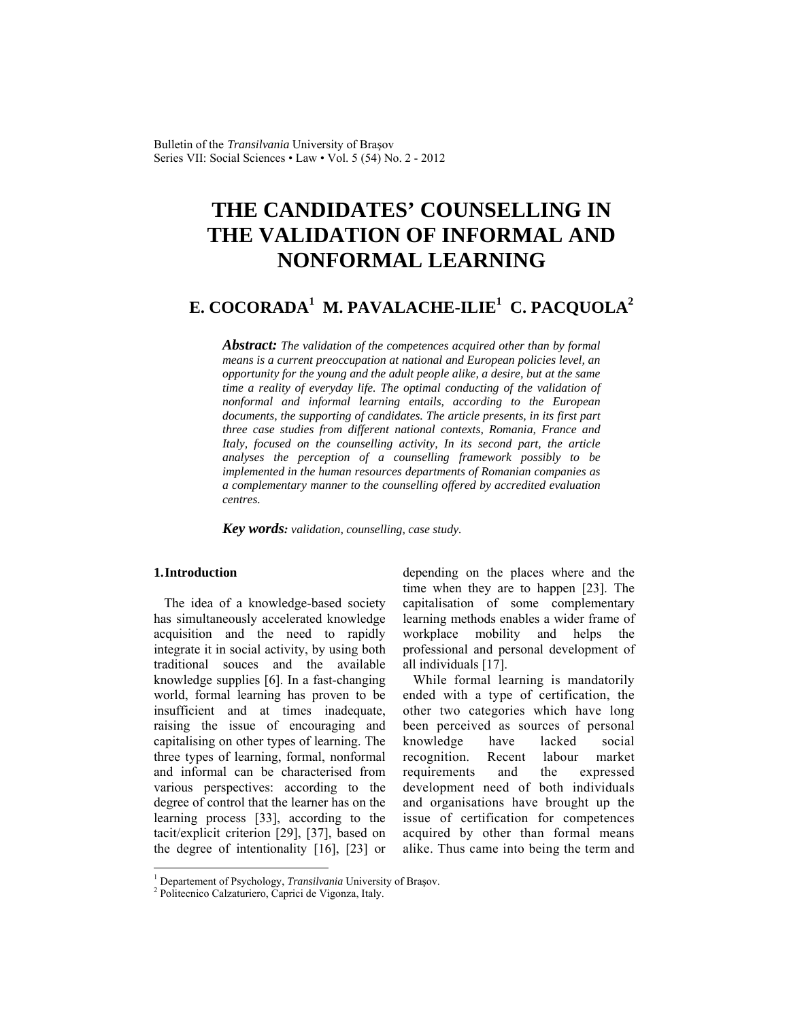# **THE CANDIDATES' COUNSELLING IN THE VALIDATION OF INFORMAL AND NONFORMAL LEARNING**

# **E. COCORADA<sup>1</sup> M. PAVALACHE-ILIE1 C. PACQUOLA<sup>2</sup>**

*Abstract: The validation of the competences acquired other than by formal means is a current preoccupation at national and European policies level, an opportunity for the young and the adult people alike, a desire, but at the same time a reality of everyday life. The optimal conducting of the validation of nonformal and informal learning entails, according to the European documents, the supporting of candidates. The article presents, in its first part three case studies from different national contexts, Romania, France and Italy, focused on the counselling activity, In its second part, the article analyses the perception of a counselling framework possibly to be implemented in the human resources departments of Romanian companies as a complementary manner to the counselling offered by accredited evaluation centres.* 

*Key words: validation, counselling, case study.* 

## **1.Introduction**

 $\overline{\phantom{a}}$ 

The idea of a knowledge-based society has simultaneously accelerated knowledge acquisition and the need to rapidly integrate it in social activity, by using both traditional souces and the available knowledge supplies [6]. In a fast-changing world, formal learning has proven to be insufficient and at times inadequate, raising the issue of encouraging and capitalising on other types of learning. The three types of learning, formal, nonformal and informal can be characterised from various perspectives: according to the degree of control that the learner has on the learning process [33], according to the tacit/explicit criterion [29], [37], based on the degree of intentionality [16], [23] or depending on the places where and the time when they are to happen [23]. The capitalisation of some complementary learning methods enables a wider frame of workplace mobility and helps the professional and personal development of all individuals [17].

While formal learning is mandatorily ended with a type of certification, the other two categories which have long been perceived as sources of personal knowledge have lacked social recognition. Recent labour market requirements and the expressed development need of both individuals and organisations have brought up the issue of certification for competences acquired by other than formal means alike. Thus came into being the term and

<sup>&</sup>lt;sup>1</sup> Departement of Psychology, *Transilvania* University of Brașov.

<sup>&</sup>lt;sup>2</sup> Politecnico Calzaturiero, Caprici de Vigonza, Italy.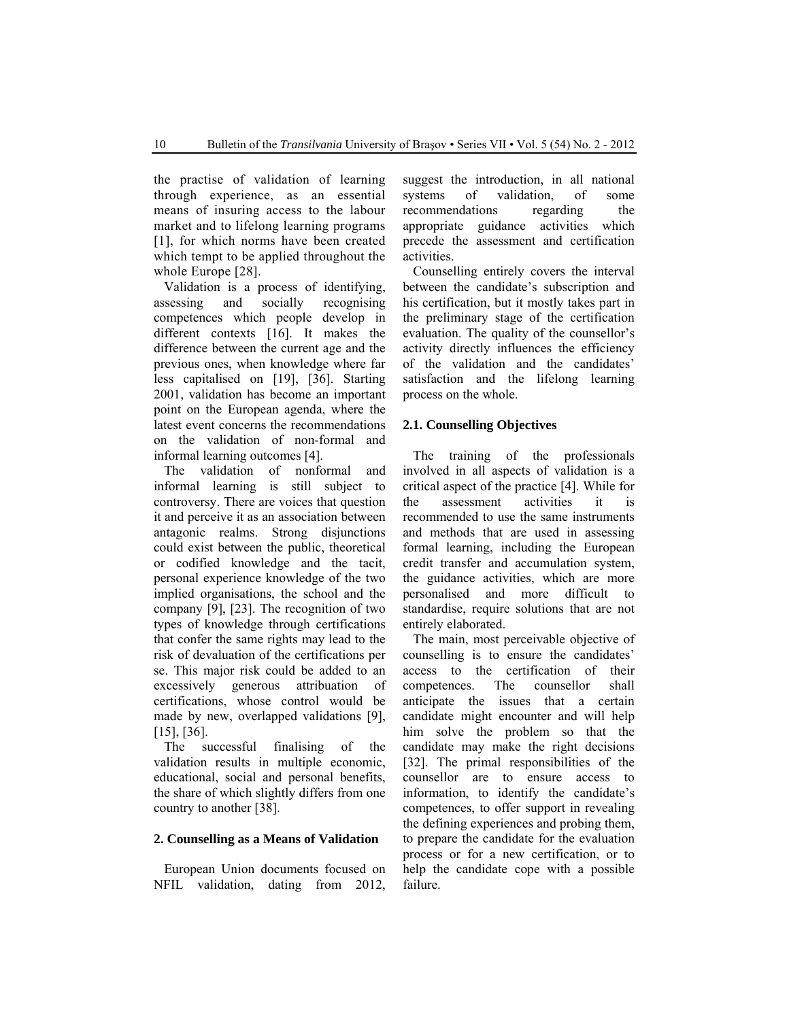the practise of validation of learning through experience, as an essential means of insuring access to the labour market and to lifelong learning programs [1], for which norms have been created which tempt to be applied throughout the whole Europe [28].

Validation is a process of identifying, assessing and socially recognising competences which people develop in different contexts [16]. It makes the difference between the current age and the previous ones, when knowledge where far less capitalised on [19], [36]. Starting 2001, validation has become an important point on the European agenda, where the latest event concerns the recommendations on the validation of non-formal and informal learning outcomes [4].

The validation of nonformal and informal learning is still subject to controversy. There are voices that question it and perceive it as an association between antagonic realms. Strong disjunctions could exist between the public, theoretical or codified knowledge and the tacit, personal experience knowledge of the two implied organisations, the school and the company [9], [23]. The recognition of two types of knowledge through certifications that confer the same rights may lead to the risk of devaluation of the certifications per se. This major risk could be added to an excessively generous attribuation of certifications, whose control would be made by new, overlapped validations [9], [15], [36].

The successful finalising of the validation results in multiple economic, educational, social and personal benefits, the share of which slightly differs from one country to another [38].

#### **2. Counselling as a Means of Validation**

European Union documents focused on NFIL validation, dating from 2012, suggest the introduction, in all national systems of validation, of some recommendations regarding the appropriate guidance activities which precede the assessment and certification activities.

Counselling entirely covers the interval between the candidate's subscription and his certification, but it mostly takes part in the preliminary stage of the certification evaluation. The quality of the counsellor's activity directly influences the efficiency of the validation and the candidates' satisfaction and the lifelong learning process on the whole.

#### **2.1. Counselling Objectives**

The training of the professionals involved in all aspects of validation is a critical aspect of the practice [4]. While for the assessment activities it is recommended to use the same instruments and methods that are used in assessing formal learning, including the European credit transfer and accumulation system, the guidance activities, which are more personalised and more difficult to standardise, require solutions that are not entirely elaborated.

The main, most perceivable objective of counselling is to ensure the candidates' access to the certification of their competences. The counsellor shall anticipate the issues that a certain candidate might encounter and will help him solve the problem so that the candidate may make the right decisions [32]. The primal responsibilities of the counsellor are to ensure access to information, to identify the candidate's competences, to offer support in revealing the defining experiences and probing them, to prepare the candidate for the evaluation process or for a new certification, or to help the candidate cope with a possible failure.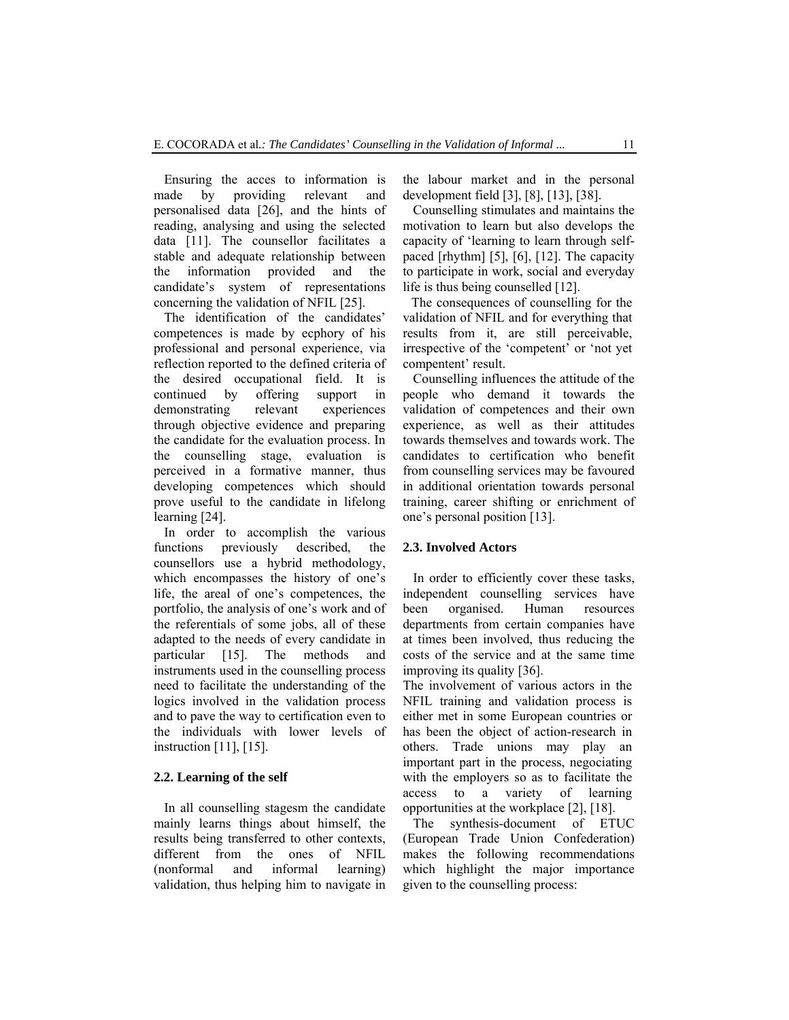Ensuring the acces to information is made by providing relevant and personalised data [26], and the hints of reading, analysing and using the selected data [11]. The counsellor facilitates a stable and adequate relationship between the information provided and the candidate's system of representations concerning the validation of NFIL [25].

The identification of the candidates' competences is made by ecphory of his professional and personal experience, via reflection reported to the defined criteria of the desired occupational field. It is continued by offering support in demonstrating relevant experiences through objective evidence and preparing the candidate for the evaluation process. In the counselling stage, evaluation is perceived in a formative manner, thus developing competences which should prove useful to the candidate in lifelong learning [24].

In order to accomplish the various functions previously described, the counsellors use a hybrid methodology, which encompasses the history of one's life, the areal of one's competences, the portfolio, the analysis of one's work and of the referentials of some jobs, all of these adapted to the needs of every candidate in particular [15]. The methods and instruments used in the counselling process need to facilitate the understanding of the logics involved in the validation process and to pave the way to certification even to the individuals with lower levels of instruction [11], [15].

#### **2.2. Learning of the self**

In all counselling stagesm the candidate mainly learns things about himself, the results being transferred to other contexts, different from the ones of NFIL (nonformal and informal learning) validation, thus helping him to navigate in the labour market and in the personal development field [3], [8], [13], [38].

Counselling stimulates and maintains the motivation to learn but also develops the capacity of 'learning to learn through selfpaced [rhythm] [5], [6], [12]. The capacity to participate in work, social and everyday life is thus being counselled [12].

The consequences of counselling for the validation of NFIL and for everything that results from it, are still perceivable, irrespective of the 'competent' or 'not yet compentent' result.

Counselling influences the attitude of the people who demand it towards the validation of competences and their own experience, as well as their attitudes towards themselves and towards work. The candidates to certification who benefit from counselling services may be favoured in additional orientation towards personal training, career shifting or enrichment of one's personal position [13].

#### **2.3. Involved Actors**

In order to efficiently cover these tasks, independent counselling services have been organised. Human resources departments from certain companies have at times been involved, thus reducing the costs of the service and at the same time improving its quality [36].

The involvement of various actors in the NFIL training and validation process is either met in some European countries or has been the object of action-research in others. Trade unions may play an important part in the process, negociating with the employers so as to facilitate the access to a variety of learning opportunities at the workplace [2], [18].

The synthesis-document of ETUC (European Trade Union Confederation) makes the following recommendations which highlight the major importance given to the counselling process: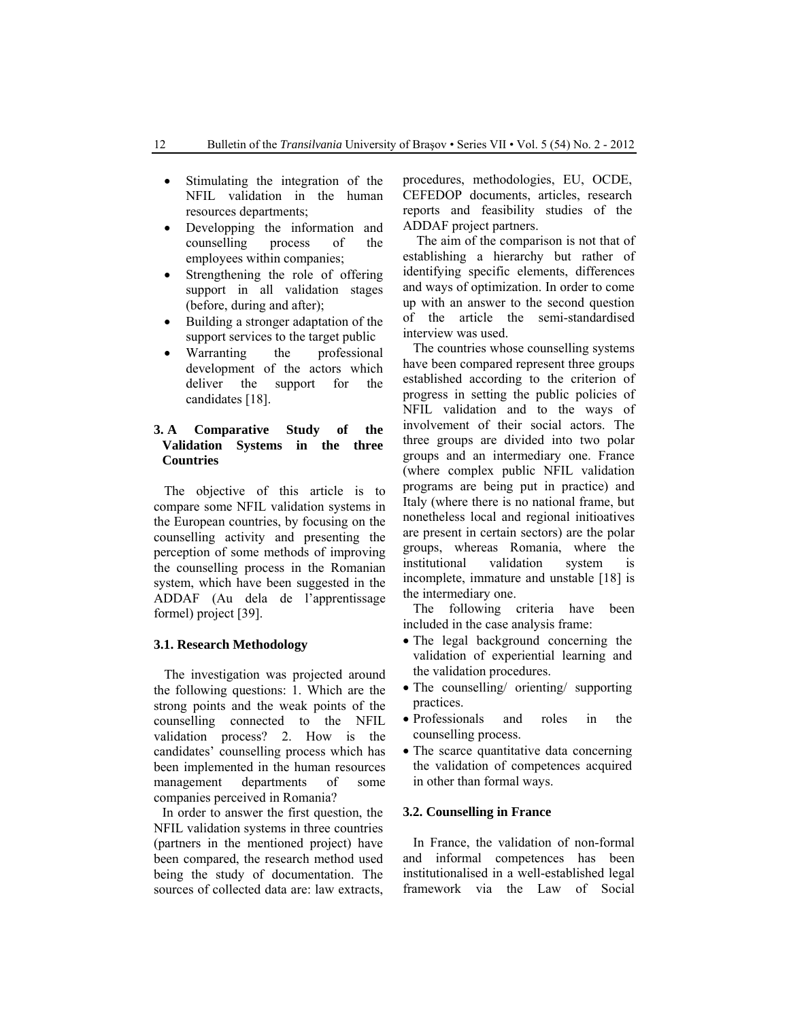- Stimulating the integration of the NFIL validation in the human resources departments;
- Developping the information and counselling process of the employees within companies;
- Strengthening the role of offering support in all validation stages (before, during and after);
- Building a stronger adaptation of the support services to the target public
- Warranting the professional development of the actors which deliver the support for the candidates [18].

# **3. A Comparative Study of the Validation Systems in the three Countries**

The objective of this article is to compare some NFIL validation systems in the European countries, by focusing on the counselling activity and presenting the perception of some methods of improving the counselling process in the Romanian system, which have been suggested in the ADDAF (Au dela de l'apprentissage formel) project [39].

# **3.1. Research Methodology**

The investigation was projected around the following questions: 1. Which are the strong points and the weak points of the counselling connected to the NFIL validation process? 2. How is the candidates' counselling process which has been implemented in the human resources management departments of some companies perceived in Romania?

In order to answer the first question, the NFIL validation systems in three countries (partners in the mentioned project) have been compared, the research method used being the study of documentation. The sources of collected data are: law extracts,

procedures, methodologies, EU, OCDE, CEFEDOP documents, articles, research reports and feasibility studies of the ADDAF project partners.

 The aim of the comparison is not that of establishing a hierarchy but rather of identifying specific elements, differences and ways of optimization. In order to come up with an answer to the second question of the article the semi-standardised interview was used.

The countries whose counselling systems have been compared represent three groups established according to the criterion of progress in setting the public policies of NFIL validation and to the ways of involvement of their social actors. The three groups are divided into two polar groups and an intermediary one. France (where complex public NFIL validation programs are being put in practice) and Italy (where there is no national frame, but nonetheless local and regional initioatives are present in certain sectors) are the polar groups, whereas Romania, where the institutional validation system is incomplete, immature and unstable [18] is the intermediary one.

The following criteria have been included in the case analysis frame:

- The legal background concerning the validation of experiential learning and the validation procedures.
- The counselling/ orienting/ supporting practices.
- Professionals and roles in the counselling process.
- The scarce quantitative data concerning the validation of competences acquired in other than formal ways.

#### **3.2. Counselling in France**

In France, the validation of non-formal and informal competences has been institutionalised in a well-established legal framework via the Law of Social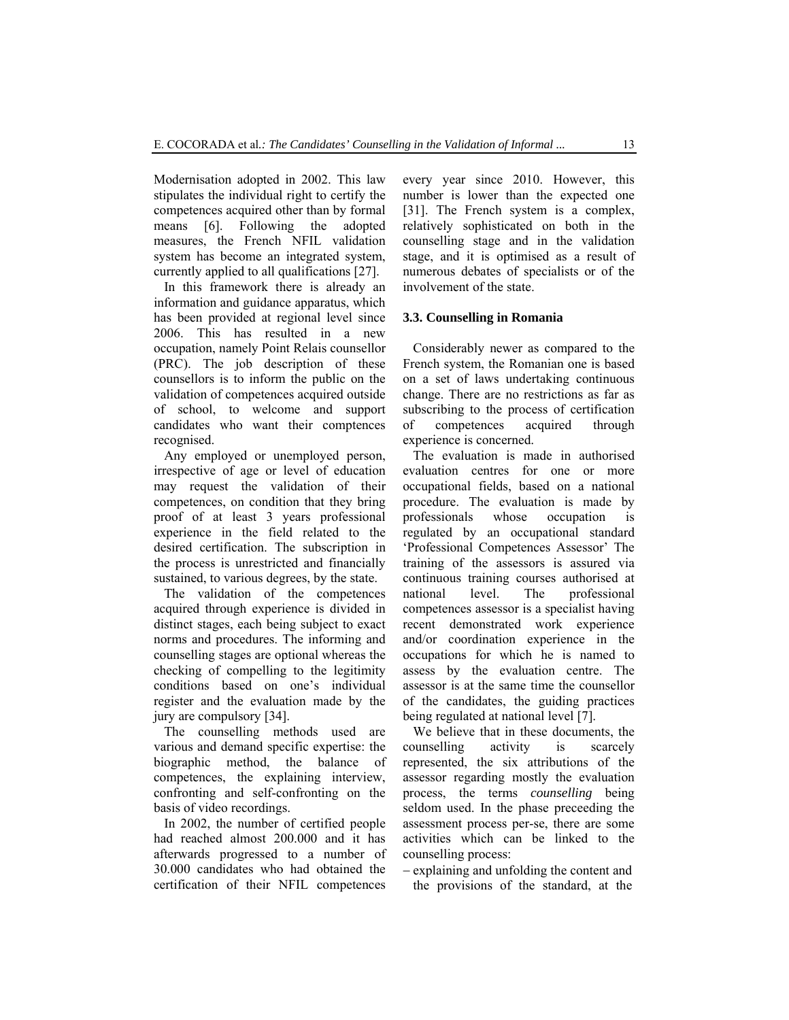Modernisation adopted in 2002. This law stipulates the individual right to certify the competences acquired other than by formal<br>means [6]. Following the adopted Following the adopted measures, the French NFIL validation system has become an integrated system, currently applied to all qualifications [27].

In this framework there is already an information and guidance apparatus, which has been provided at regional level since 2006. This has resulted in a new occupation, namely Point Relais counsellor (PRC). The job description of these counsellors is to inform the public on the validation of competences acquired outside of school, to welcome and support candidates who want their comptences recognised.

Any employed or unemployed person, irrespective of age or level of education may request the validation of their competences, on condition that they bring proof of at least 3 years professional experience in the field related to the desired certification. The subscription in the process is unrestricted and financially sustained, to various degrees, by the state.

The validation of the competences acquired through experience is divided in distinct stages, each being subject to exact norms and procedures. The informing and counselling stages are optional whereas the checking of compelling to the legitimity conditions based on one's individual register and the evaluation made by the jury are compulsory [34].

The counselling methods used are various and demand specific expertise: the biographic method, the balance of competences, the explaining interview, confronting and self-confronting on the basis of video recordings.

In 2002, the number of certified people had reached almost 200.000 and it has afterwards progressed to a number of 30.000 candidates who had obtained the certification of their NFIL competences every year since 2010. However, this number is lower than the expected one [31]. The French system is a complex, relatively sophisticated on both in the counselling stage and in the validation stage, and it is optimised as a result of numerous debates of specialists or of the involvement of the state.

#### **3.3. Counselling in Romania**

Considerably newer as compared to the French system, the Romanian one is based on a set of laws undertaking continuous change. There are no restrictions as far as subscribing to the process of certification of competences acquired through experience is concerned.

The evaluation is made in authorised evaluation centres for one or more occupational fields, based on a national procedure. The evaluation is made by professionals whose occupation is regulated by an occupational standard 'Professional Competences Assessor' The training of the assessors is assured via continuous training courses authorised at national level. The professional competences assessor is a specialist having recent demonstrated work experience and/or coordination experience in the occupations for which he is named to assess by the evaluation centre. The assessor is at the same time the counsellor of the candidates, the guiding practices being regulated at national level [7].

We believe that in these documents, the counselling activity is scarcely represented, the six attributions of the assessor regarding mostly the evaluation process, the terms *counselling* being seldom used. In the phase preceeding the assessment process per-se, there are some activities which can be linked to the counselling process:

− explaining and unfolding the content and the provisions of the standard, at the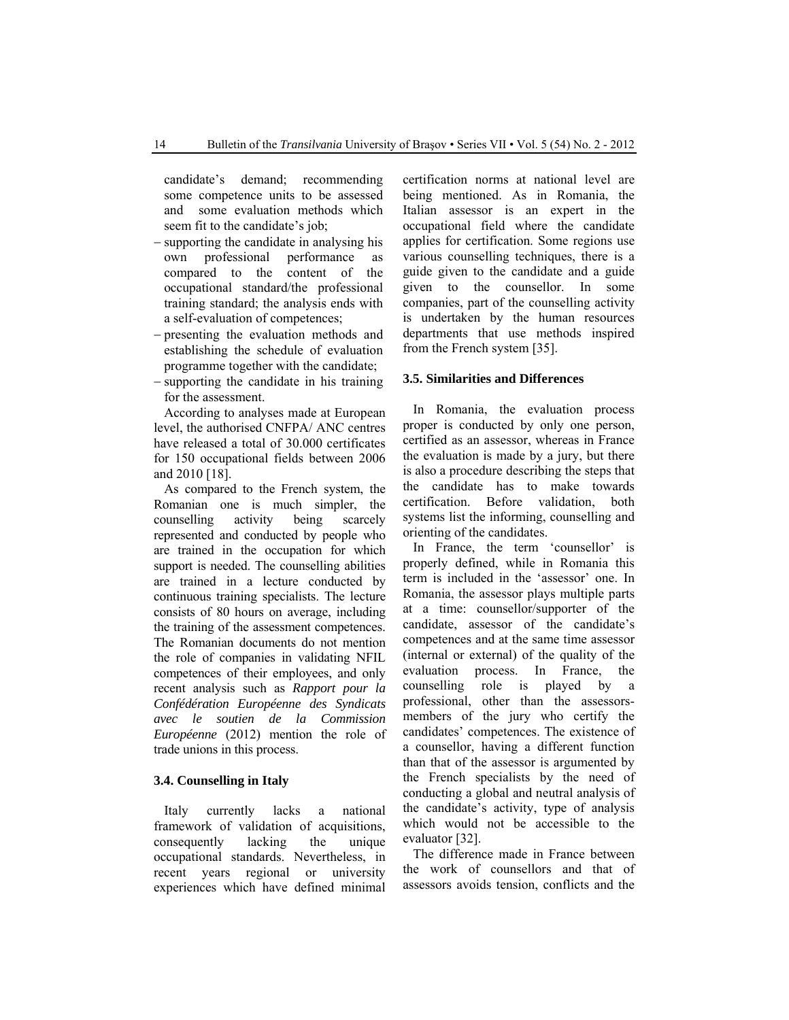candidate's demand; recommending some competence units to be assessed and some evaluation methods which seem fit to the candidate's job;

- − supporting the candidate in analysing his own professional performance as compared to the content of the occupational standard/the professional training standard; the analysis ends with a self-evaluation of competences;
- − presenting the evaluation methods and establishing the schedule of evaluation programme together with the candidate;
- − supporting the candidate in his training for the assessment.

According to analyses made at European level, the authorised CNFPA/ ANC centres have released a total of 30.000 certificates for 150 occupational fields between 2006 and 2010 [18].

As compared to the French system, the Romanian one is much simpler, the counselling activity being scarcely represented and conducted by people who are trained in the occupation for which support is needed. The counselling abilities are trained in a lecture conducted by continuous training specialists. The lecture consists of 80 hours on average, including the training of the assessment competences. The Romanian documents do not mention the role of companies in validating NFIL competences of their employees, and only recent analysis such as *Rapport pour la Confédération Européenne des Syndicats avec le soutien de la Commission Européenne* (2012) mention the role of trade unions in this process.

## **3.4. Counselling in Italy**

Italy currently lacks a national framework of validation of acquisitions, consequently lacking the unique occupational standards. Nevertheless, in recent years regional or university experiences which have defined minimal certification norms at national level are being mentioned. As in Romania, the Italian assessor is an expert in the occupational field where the candidate applies for certification. Some regions use various counselling techniques, there is a guide given to the candidate and a guide given to the counsellor. In some companies, part of the counselling activity is undertaken by the human resources departments that use methods inspired from the French system [35].

#### **3.5. Similarities and Differences**

In Romania, the evaluation process proper is conducted by only one person, certified as an assessor, whereas in France the evaluation is made by a jury, but there is also a procedure describing the steps that the candidate has to make towards certification. Before validation, both systems list the informing, counselling and orienting of the candidates.

In France, the term 'counsellor' is properly defined, while in Romania this term is included in the 'assessor' one. In Romania, the assessor plays multiple parts at a time: counsellor/supporter of the candidate, assessor of the candidate's competences and at the same time assessor (internal or external) of the quality of the evaluation process. In France, the counselling role is played by a professional, other than the assessorsmembers of the jury who certify the candidates' competences. The existence of a counsellor, having a different function than that of the assessor is argumented by the French specialists by the need of conducting a global and neutral analysis of the candidate's activity, type of analysis which would not be accessible to the evaluator [32].

The difference made in France between the work of counsellors and that of assessors avoids tension, conflicts and the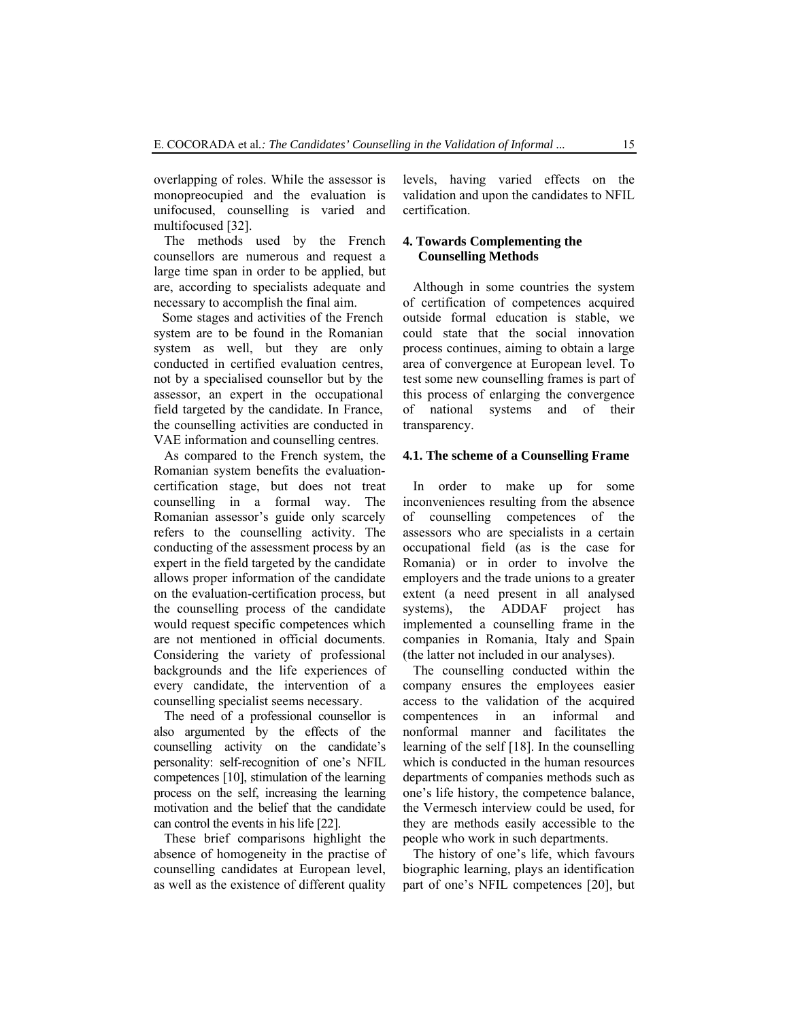overlapping of roles. While the assessor is monopreocupied and the evaluation is unifocused, counselling is varied and multifocused [32].

The methods used by the French counsellors are numerous and request a large time span in order to be applied, but are, according to specialists adequate and necessary to accomplish the final aim.

Some stages and activities of the French system are to be found in the Romanian system as well, but they are only conducted in certified evaluation centres, not by a specialised counsellor but by the assessor, an expert in the occupational field targeted by the candidate. In France, the counselling activities are conducted in VAE information and counselling centres.

As compared to the French system, the Romanian system benefits the evaluationcertification stage, but does not treat counselling in a formal way. The Romanian assessor's guide only scarcely refers to the counselling activity. The conducting of the assessment process by an expert in the field targeted by the candidate allows proper information of the candidate on the evaluation-certification process, but the counselling process of the candidate would request specific competences which are not mentioned in official documents. Considering the variety of professional backgrounds and the life experiences of every candidate, the intervention of a counselling specialist seems necessary.

The need of a professional counsellor is also argumented by the effects of the counselling activity on the candidate's personality: self-recognition of one's NFIL competences [10], stimulation of the learning process on the self, increasing the learning motivation and the belief that the candidate can control the events in his life [22].

These brief comparisons highlight the absence of homogeneity in the practise of counselling candidates at European level, as well as the existence of different quality levels, having varied effects on the validation and upon the candidates to NFIL certification.

#### **4. Towards Complementing the Counselling Methods**

Although in some countries the system of certification of competences acquired outside formal education is stable, we could state that the social innovation process continues, aiming to obtain a large area of convergence at European level. To test some new counselling frames is part of this process of enlarging the convergence of national systems and of their transparency.

#### **4.1. The scheme of a Counselling Frame**

In order to make up for some inconveniences resulting from the absence of counselling competences of the assessors who are specialists in a certain occupational field (as is the case for Romania) or in order to involve the employers and the trade unions to a greater extent (a need present in all analysed systems), the ADDAF project has implemented a counselling frame in the companies in Romania, Italy and Spain (the latter not included in our analyses).

The counselling conducted within the company ensures the employees easier access to the validation of the acquired compentences in an informal and nonformal manner and facilitates the learning of the self [18]. In the counselling which is conducted in the human resources departments of companies methods such as one's life history, the competence balance, the Vermesch interview could be used, for they are methods easily accessible to the people who work in such departments.

The history of one's life, which favours biographic learning, plays an identification part of one's NFIL competences [20], but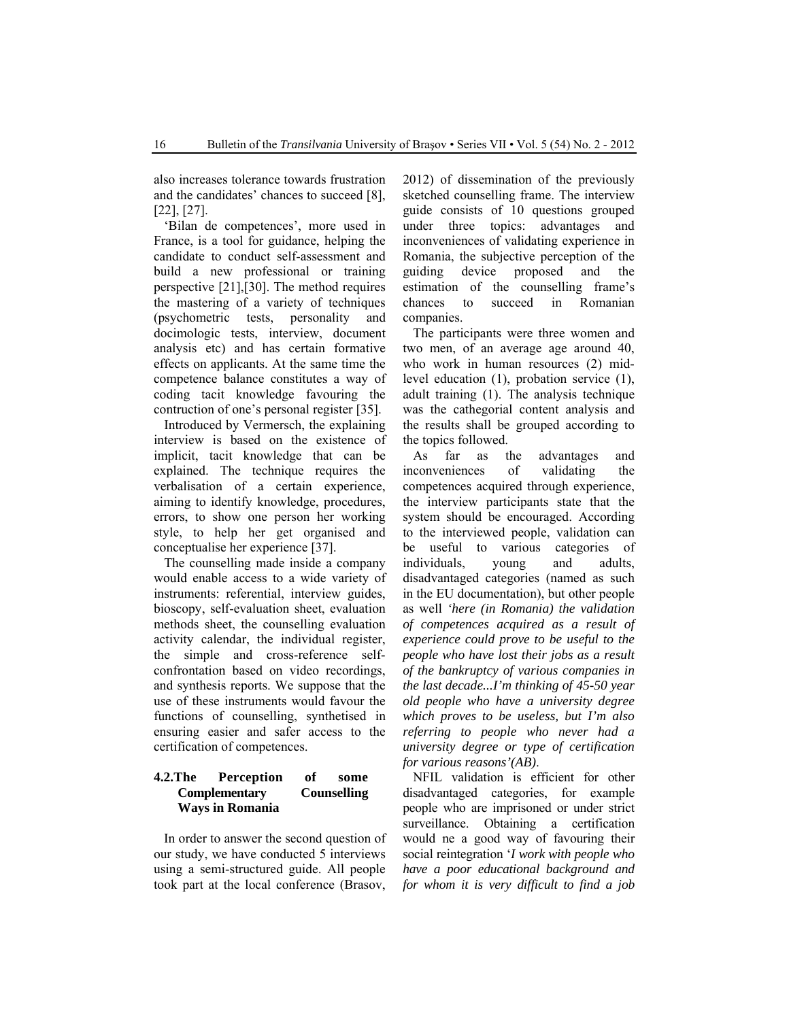also increases tolerance towards frustration and the candidates' chances to succeed [8], [22], [27].

'Bilan de competences', more used in France, is a tool for guidance, helping the candidate to conduct self-assessment and build a new professional or training perspective [21],[30]. The method requires the mastering of a variety of techniques (psychometric tests, personality and docimologic tests, interview, document analysis etc) and has certain formative effects on applicants. At the same time the competence balance constitutes a way of coding tacit knowledge favouring the contruction of one's personal register [35].

Introduced by Vermersch, the explaining interview is based on the existence of implicit, tacit knowledge that can be explained. The technique requires the verbalisation of a certain experience, aiming to identify knowledge, procedures, errors, to show one person her working style, to help her get organised and conceptualise her experience [37].

The counselling made inside a company would enable access to a wide variety of instruments: referential, interview guides, bioscopy, self-evaluation sheet, evaluation methods sheet, the counselling evaluation activity calendar, the individual register, the simple and cross-reference selfconfrontation based on video recordings, and synthesis reports. We suppose that the use of these instruments would favour the functions of counselling, synthetised in ensuring easier and safer access to the certification of competences.

# **4.2.The Perception of some Complementary Counselling Ways in Romania**

In order to answer the second question of our study, we have conducted 5 interviews using a semi-structured guide. All people took part at the local conference (Brasov,

2012) of dissemination of the previously sketched counselling frame. The interview guide consists of 10 questions grouped under three topics: advantages and inconveniences of validating experience in Romania, the subjective perception of the guiding device proposed and the estimation of the counselling frame's chances to succeed in Romanian companies.

The participants were three women and two men, of an average age around 40, who work in human resources (2) midlevel education (1), probation service (1), adult training (1). The analysis technique was the cathegorial content analysis and the results shall be grouped according to the topics followed.

As far as the advantages and inconveniences of validating the competences acquired through experience, the interview participants state that the system should be encouraged. According to the interviewed people, validation can be useful to various categories of individuals, young and adults, disadvantaged categories (named as such in the EU documentation), but other people as well *'here (in Romania) the validation of competences acquired as a result of experience could prove to be useful to the people who have lost their jobs as a result of the bankruptcy of various companies in the last decade...I'm thinking of 45-50 year old people who have a university degree which proves to be useless, but I'm also referring to people who never had a university degree or type of certification for various reasons'(AB)*.

NFIL validation is efficient for other disadvantaged categories, for example people who are imprisoned or under strict surveillance. Obtaining a certification would ne a good way of favouring their social reintegration '*I work with people who have a poor educational background and for whom it is very difficult to find a job*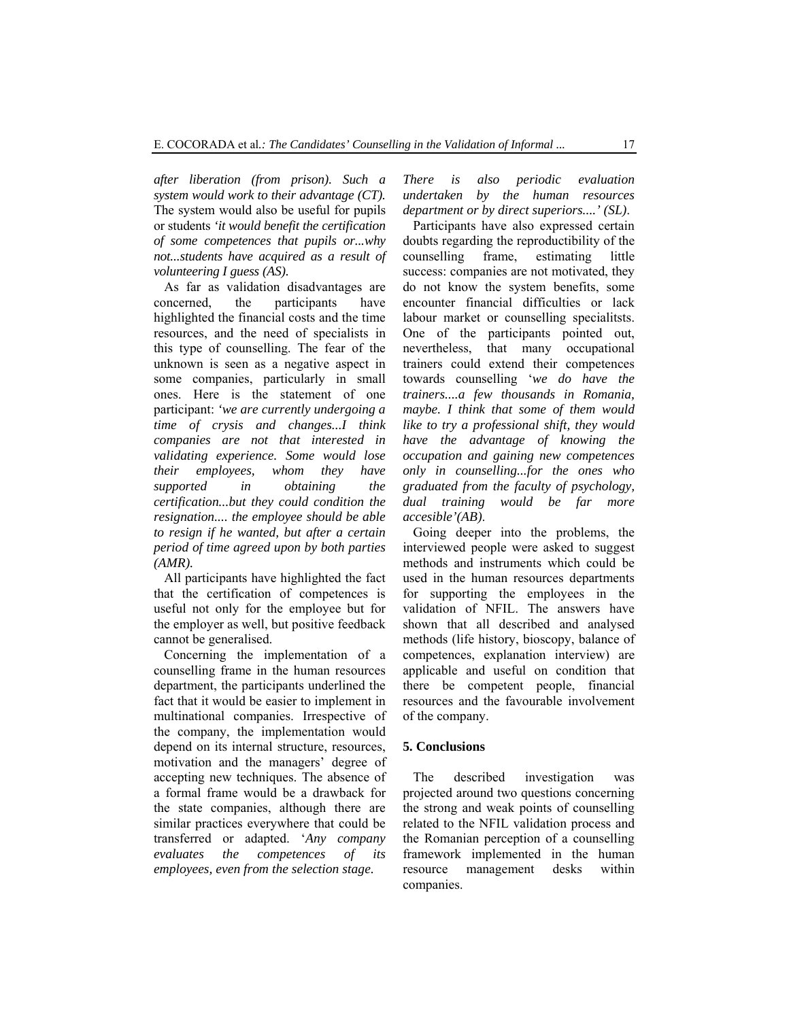*after liberation (from prison). Such a system would work to their advantage (CT).* The system would also be useful for pupils or students *'it would benefit the certification of some competences that pupils or...why not...students have acquired as a result of volunteering I guess (AS).*

As far as validation disadvantages are concerned, the participants have highlighted the financial costs and the time resources, and the need of specialists in this type of counselling. The fear of the unknown is seen as a negative aspect in some companies, particularly in small ones. Here is the statement of one participant: *'we are currently undergoing a time of crysis and changes...I think companies are not that interested in validating experience. Some would lose their employees, whom they have supported in obtaining the certification...but they could condition the resignation.... the employee should be able to resign if he wanted, but after a certain period of time agreed upon by both parties (AMR).*

All participants have highlighted the fact that the certification of competences is useful not only for the employee but for the employer as well, but positive feedback cannot be generalised.

Concerning the implementation of a counselling frame in the human resources department, the participants underlined the fact that it would be easier to implement in multinational companies. Irrespective of the company, the implementation would depend on its internal structure, resources, motivation and the managers' degree of accepting new techniques. The absence of a formal frame would be a drawback for the state companies, although there are similar practices everywhere that could be transferred or adapted. '*Any company evaluates the competences of its employees, even from the selection stage.* 

*There is also periodic evaluation undertaken by the human resources department or by direct superiors....' (SL)*.

Participants have also expressed certain doubts regarding the reproductibility of the counselling frame, estimating little success: companies are not motivated, they do not know the system benefits, some encounter financial difficulties or lack labour market or counselling specialitsts. One of the participants pointed out, nevertheless, that many occupational trainers could extend their competences towards counselling '*we do have the trainers....a few thousands in Romania, maybe. I think that some of them would like to try a professional shift, they would have the advantage of knowing the occupation and gaining new competences only in counselling...for the ones who graduated from the faculty of psychology, dual training would be far more accesible'(AB)*.

Going deeper into the problems, the interviewed people were asked to suggest methods and instruments which could be used in the human resources departments for supporting the employees in the validation of NFIL. The answers have shown that all described and analysed methods (life history, bioscopy, balance of competences, explanation interview) are applicable and useful on condition that there be competent people, financial resources and the favourable involvement of the company.

#### **5. Conclusions**

The described investigation was projected around two questions concerning the strong and weak points of counselling related to the NFIL validation process and the Romanian perception of a counselling framework implemented in the human resource management desks within companies.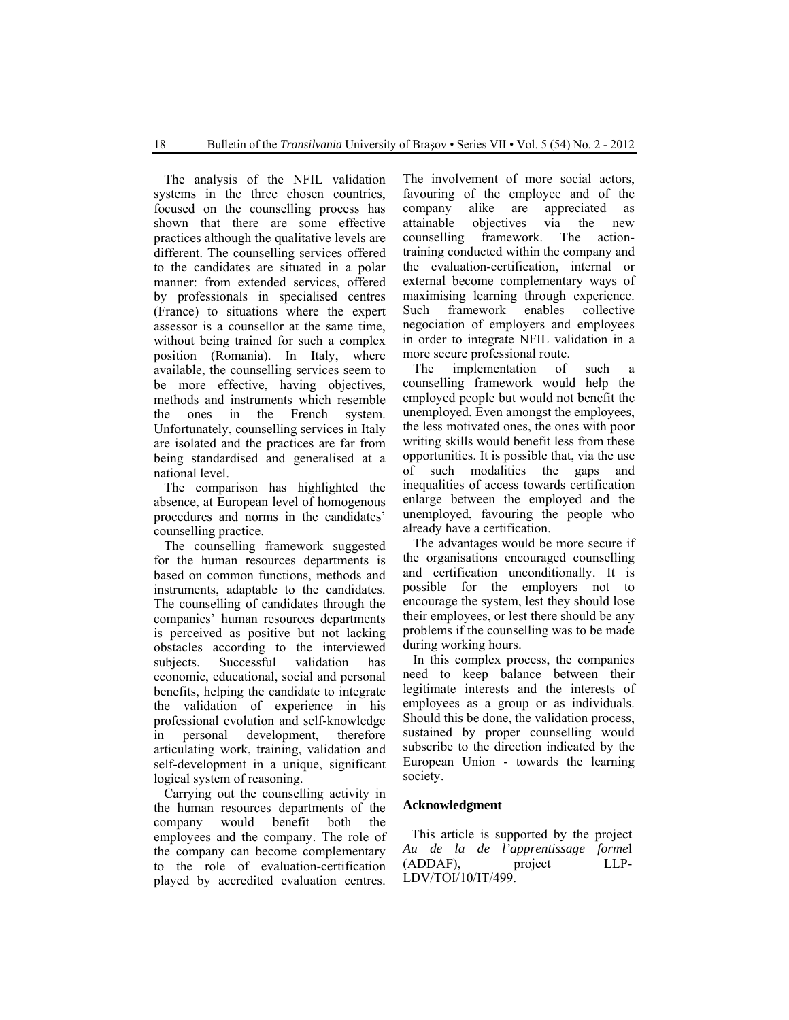The analysis of the NFIL validation systems in the three chosen countries. focused on the counselling process has shown that there are some effective practices although the qualitative levels are different. The counselling services offered to the candidates are situated in a polar manner: from extended services, offered by professionals in specialised centres (France) to situations where the expert assessor is a counsellor at the same time, without being trained for such a complex position (Romania). In Italy, where available, the counselling services seem to be more effective, having objectives, methods and instruments which resemble the ones in the French system. Unfortunately, counselling services in Italy are isolated and the practices are far from being standardised and generalised at a national level.

The comparison has highlighted the absence, at European level of homogenous procedures and norms in the candidates' counselling practice.

The counselling framework suggested for the human resources departments is based on common functions, methods and instruments, adaptable to the candidates. The counselling of candidates through the companies' human resources departments is perceived as positive but not lacking obstacles according to the interviewed subjects. Successful validation has economic, educational, social and personal benefits, helping the candidate to integrate the validation of experience in his professional evolution and self-knowledge in personal development, therefore articulating work, training, validation and self-development in a unique, significant logical system of reasoning.

Carrying out the counselling activity in the human resources departments of the company would benefit both the employees and the company. The role of the company can become complementary to the role of evaluation-certification played by accredited evaluation centres. The involvement of more social actors, favouring of the employee and of the company alike are appreciated as attainable objectives via the new counselling framework. The actiontraining conducted within the company and the evaluation-certification, internal or external become complementary ways of maximising learning through experience. Such framework enables collective negociation of employers and employees in order to integrate NFIL validation in a more secure professional route.

The implementation of such a counselling framework would help the employed people but would not benefit the unemployed. Even amongst the employees, the less motivated ones, the ones with poor writing skills would benefit less from these opportunities. It is possible that, via the use of such modalities the gaps and inequalities of access towards certification enlarge between the employed and the unemployed, favouring the people who already have a certification.

The advantages would be more secure if the organisations encouraged counselling and certification unconditionally. It is possible for the employers not to encourage the system, lest they should lose their employees, or lest there should be any problems if the counselling was to be made during working hours.

In this complex process, the companies need to keep balance between their legitimate interests and the interests of employees as a group or as individuals. Should this be done, the validation process, sustained by proper counselling would subscribe to the direction indicated by the European Union - towards the learning society.

#### **Acknowledgment**

This article is supported by the project *Au de la de l'apprentissage forme*l (ADDAF), project LLP-LDV/TOI/10/IT/499.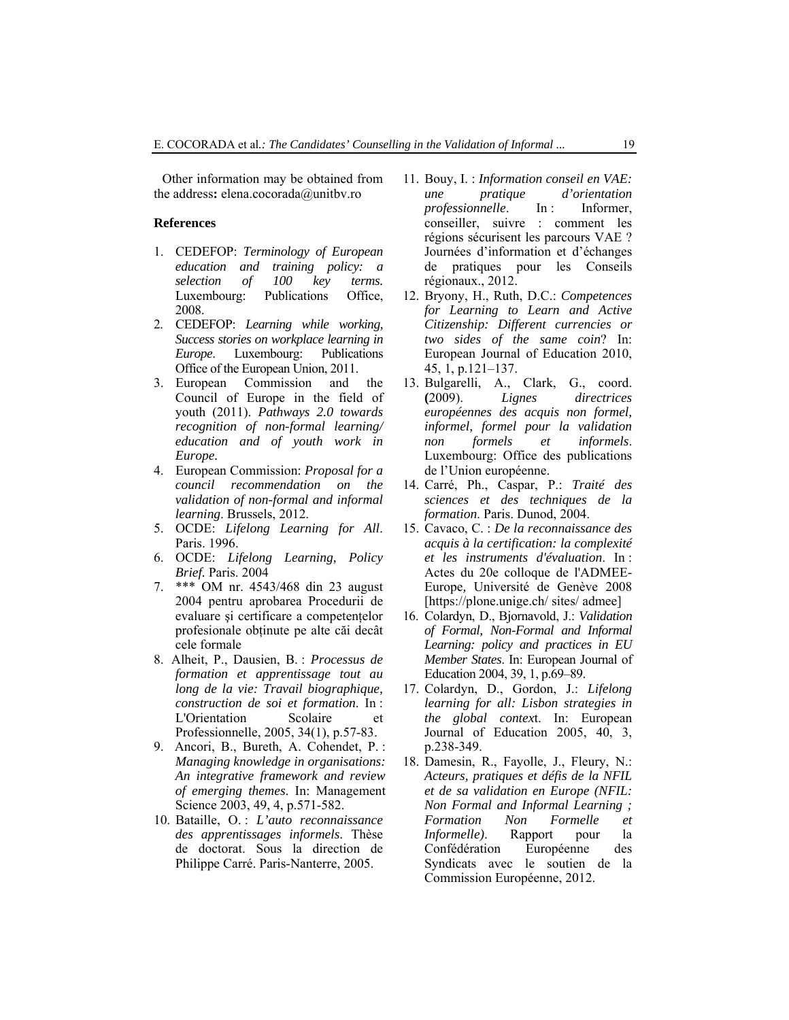Other information may be obtained from the address**:** elena.cocorada@unitbv.ro

#### **References**

- 1. CEDEFOP: *Terminology of European education and training policy: a selection of 100 key terms.*  Luxembourg: Publications Office, 2008.
- 2. CEDEFOP: *Learning while working, Success stories on workplace learning in Europe*. Luxembourg: Publications Office of the European Union, 2011.
- 3. European Commission and the Council of Europe in the field of youth (2011). *Pathways 2.0 towards recognition of non-formal learning/ education and of youth work in Europe.*
- 4. European Commission: *Proposal for a council recommendation on the validation of non-formal and informal learning*. Brussels, 2012.
- 5. OCDE: *Lifelong Learning for All*. Paris. 1996.
- 6. OCDE: *Lifelong Learning, Policy Brief.* Paris. 2004
- 7. \*\*\* OM nr. 4543/468 din 23 august 2004 pentru aprobarea Procedurii de evaluare şi certificare a competenţelor profesionale obţinute pe alte căi decât cele formale
- 8. Alheit, P., Dausien, B. : *Processus de formation et apprentissage tout au long de la vie: Travail biographique, construction de soi et formation*. In : L'Orientation Scolaire et Professionnelle, 2005, 34(1), p.57-83.
- 9. Ancori, B., Bureth, A. Cohendet, P. : *Managing knowledge in organisations: An integrative framework and review of emerging themes*. In: Management Science 2003, 49, 4, p.571-582.
- 10. Bataille, O. : *L'auto reconnaissance des apprentissages informels*. Thèse de doctorat. Sous la direction de Philippe Carré. Paris-Nanterre, 2005.
- 11. Bouy, I. : *Information conseil en VAE: une pratique d'orientation professionnelle*. In: Informer, conseiller, suivre : comment les régions sécurisent les parcours VAE ? Journées d'information et d'échanges de pratiques pour les Conseils régionaux., 2012.
- 12. Bryony, H., Ruth, D.C.: *Competences for Learning to Learn and Active Citizenship: Different currencies or two sides of the same coin*? In: European Journal of Education 2010, 45, 1, p.121–137.
- 13. Bulgarelli, A., Clark, G., coord. **(**2009). *Lignes directrices européennes des acquis non formel, informel, formel pour la validation non formels et informels*. Luxembourg: Office des publications de l'Union européenne.
- 14. Carré, Ph., Caspar, P.: *Traité des sciences et des techniques de la formation*. Paris. Dunod, 2004.
- 15. Cavaco, C. : *De la reconnaissance des acquis à la certification: la complexité et les instruments d'évaluation*. In : Actes du 20e colloque de l'ADMEE*-*Europe*,* Université de Genève 2008 [https://plone.unige.ch/ sites/ admee]
- 16. Colardyn, D., Bjornavold, J.: *Validation of Formal, Non-Formal and Informal Learning: policy and practices in EU Member States*. In: European Journal of Education 2004, 39, 1, p.69–89.
- 17. Colardyn, D., Gordon, J.: *Lifelong learning for all: Lisbon strategies in the global contex*t. In: European Journal of Education 2005, 40, 3, p.238-349.
- 18. Damesin, R., Fayolle, J., Fleury, N.: *Acteurs, pratiques et défis de la NFIL et de sa validation en Europe (NFIL: Non Formal and Informal Learning ; Formation Non Formelle et Informelle)*. Rapport pour la Confédération Européenne des Syndicats avec le soutien de la Commission Européenne, 2012.